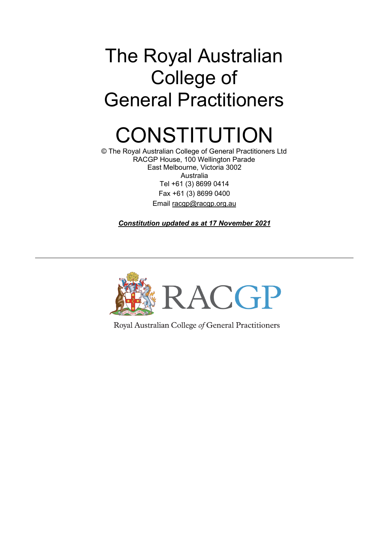# The Royal Australian College of General Practitioners

# **CONSTITUTION**

© The Royal Australian College of General Practitioners Ltd RACGP House, 100 Wellington Parade East Melbourne, Victoria 3002 Australia Tel +61 (3) 8699 0414 Fax +61 (3) 8699 0400 Email [racgp@racgp.org.au](mailto:racgp@racgp.org.au)

*Constitution updated as at 17 November 2021*



Royal Australian College of General Practitioners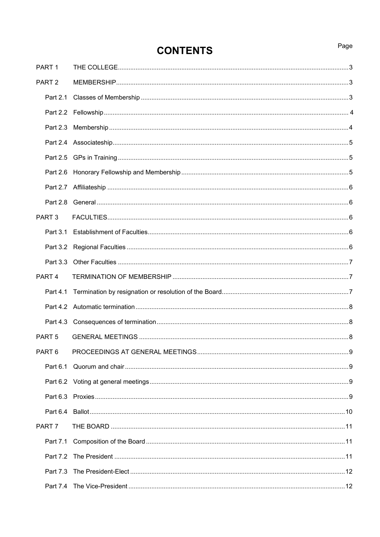# **CONTENTS**

| PART <sub>1</sub> |  |
|-------------------|--|
| PART <sub>2</sub> |  |
|                   |  |
|                   |  |
|                   |  |
|                   |  |
|                   |  |
|                   |  |
|                   |  |
|                   |  |
| PART <sub>3</sub> |  |
|                   |  |
|                   |  |
|                   |  |
| PART <sub>4</sub> |  |
| Part 4.1          |  |
|                   |  |
|                   |  |
| PART <sub>5</sub> |  |
|                   |  |
|                   |  |
|                   |  |
|                   |  |
|                   |  |
| PART <sub>7</sub> |  |
|                   |  |
|                   |  |
|                   |  |
|                   |  |

# Page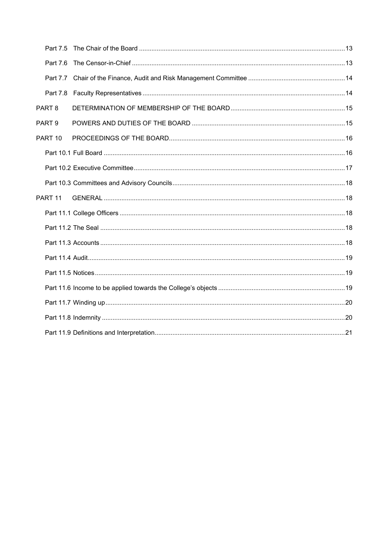| Part 7.5           |  |
|--------------------|--|
| Part 7.6           |  |
|                    |  |
|                    |  |
| PART <sub>8</sub>  |  |
| PART <sub>9</sub>  |  |
| PART 10            |  |
|                    |  |
|                    |  |
|                    |  |
| PART <sub>11</sub> |  |
|                    |  |
|                    |  |
|                    |  |
|                    |  |
|                    |  |
|                    |  |
|                    |  |
|                    |  |
|                    |  |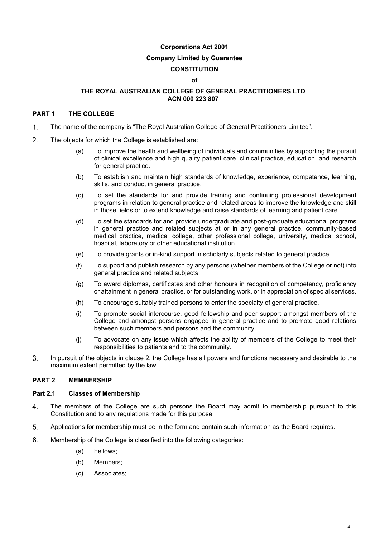# **Corporations Act 2001**

#### **Company Limited by Guarantee**

# **CONSTITUTION**

#### **of**

#### **THE ROYAL AUSTRALIAN COLLEGE OF GENERAL PRACTITIONERS LTD ACN 000 223 807**

#### **PART 1 THE COLLEGE**

- The name of the company is "The Royal Australian College of General Practitioners Limited". 1.
- $2.$ The objects for which the College is established are:
	- (a) To improve the health and wellbeing of individuals and communities by supporting the pursuit of clinical excellence and high quality patient care, clinical practice, education, and research for general practice.
	- (b) To establish and maintain high standards of knowledge, experience, competence, learning, skills, and conduct in general practice.
	- (c) To set the standards for and provide training and continuing professional development programs in relation to general practice and related areas to improve the knowledge and skill in those fields or to extend knowledge and raise standards of learning and patient care.
	- (d) To set the standards for and provide undergraduate and post-graduate educational programs in general practice and related subjects at or in any general practice, community-based medical practice, medical college, other professional college, university, medical school, hospital, laboratory or other educational institution.
	- (e) To provide grants or in-kind support in scholarly subjects related to general practice.
	- (f) To support and publish research by any persons (whether members of the College or not) into general practice and related subjects.
	- (g) To award diplomas, certificates and other honours in recognition of competency, proficiency or attainment in general practice, or for outstanding work, or in appreciation of special services.
	- (h) To encourage suitably trained persons to enter the specialty of general practice.
	- (i) To promote social intercourse, good fellowship and peer support amongst members of the College and amongst persons engaged in general practice and to promote good relations between such members and persons and the community.
	- (j) To advocate on any issue which affects the ability of members of the College to meet their responsibilities to patients and to the community.
- 3. In pursuit of the objects in clause 2, the College has all powers and functions necessary and desirable to the maximum extent permitted by the law.

#### **PART 2 MEMBERSHIP**

#### **Part 2.1 Classes of Membership**

- The members of the College are such persons the Board may admit to membership pursuant to this  $\mathbf{4}$ . Constitution and to any regulations made for this purpose.
- 5. Applications for membership must be in the form and contain such information as the Board requires.
- 6. Membership of the College is classified into the following categories:
	- (a) Fellows;
	- (b) Members;
	- (c) Associates;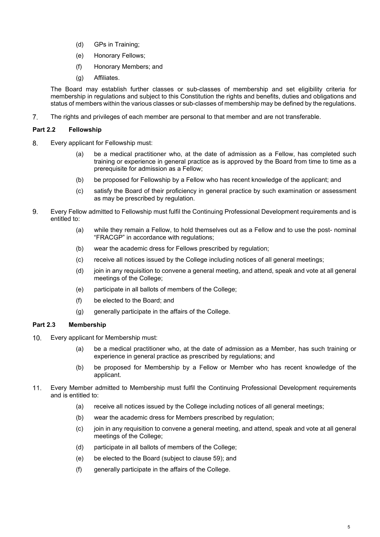- (d) GPs in Training;
- (e) Honorary Fellows;
- (f) Honorary Members; and
- (g) Affiliates.

The Board may establish further classes or sub-classes of membership and set eligibility criteria for membership in regulations and subject to this Constitution the rights and benefits, duties and obligations and status of members within the various classes or sub-classes of membership may be defined by the regulations.

 $7<sub>1</sub>$ The rights and privileges of each member are personal to that member and are not transferable.

# **Part 2.2 Fellowship**

- 8. Every applicant for Fellowship must:
	- (a) be a medical practitioner who, at the date of admission as a Fellow, has completed such training or experience in general practice as is approved by the Board from time to time as a prerequisite for admission as a Fellow;
	- (b) be proposed for Fellowship by a Fellow who has recent knowledge of the applicant; and
	- (c) satisfy the Board of their proficiency in general practice by such examination or assessment as may be prescribed by regulation.
- Every Fellow admitted to Fellowship must fulfil the Continuing Professional Development requirements and is 9. entitled to:
	- (a) while they remain a Fellow, to hold themselves out as a Fellow and to use the post- nominal "FRACGP" in accordance with regulations;
	- (b) wear the academic dress for Fellows prescribed by regulation;
	- (c) receive all notices issued by the College including notices of all general meetings;
	- (d) join in any requisition to convene a general meeting, and attend, speak and vote at all general meetings of the College;
	- (e) participate in all ballots of members of the College;
	- (f) be elected to the Board; and
	- (g) generally participate in the affairs of the College.

# **Part 2.3 Membership**

- $10.$ Every applicant for Membership must:
	- (a) be a medical practitioner who, at the date of admission as a Member, has such training or experience in general practice as prescribed by regulations; and
	- (b) be proposed for Membership by a Fellow or Member who has recent knowledge of the applicant.
- $11.$ Every Member admitted to Membership must fulfil the Continuing Professional Development requirements and is entitled to:
	- (a) receive all notices issued by the College including notices of all general meetings;
	- (b) wear the academic dress for Members prescribed by regulation;
	- (c) join in any requisition to convene a general meeting, and attend, speak and vote at all general meetings of the College;
	- (d) participate in all ballots of members of the College;
	- (e) be elected to the Board (subject to clause 59); and
	- (f) generally participate in the affairs of the College.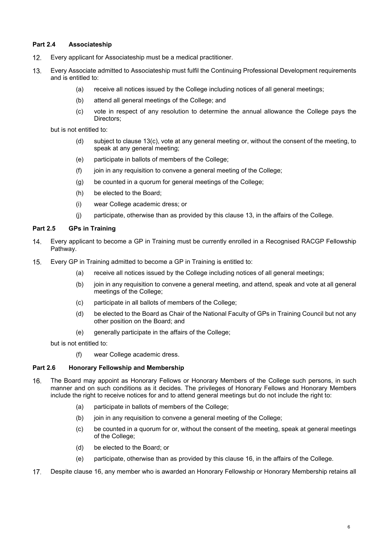# **Part 2.4 Associateship**

- $12.$ Every applicant for Associateship must be a medical practitioner.
- Every Associate admitted to Associateship must fulfil the Continuing Professional Development requirements  $13.$ and is entitled to:
	- (a) receive all notices issued by the College including notices of all general meetings;
	- (b) attend all general meetings of the College; and
	- (c) vote in respect of any resolution to determine the annual allowance the College pays the Directors;

but is not entitled to:

- (d) subject to clause 13(c), vote at any general meeting or, without the consent of the meeting, to speak at any general meeting;
- (e) participate in ballots of members of the College;
- (f) join in any requisition to convene a general meeting of the College;
- (g) be counted in a quorum for general meetings of the College;
- (h) be elected to the Board;
- (i) wear College academic dress; or
- (j) participate, otherwise than as provided by this clause 13, in the affairs of the College.

# **Part 2.5 GPs in Training**

- Every applicant to become a GP in Training must be currently enrolled in a Recognised RACGP Fellowship 14. Pathway.
- $15.$ Every GP in Training admitted to become a GP in Training is entitled to:
	- (a) receive all notices issued by the College including notices of all general meetings;
	- (b) join in any requisition to convene a general meeting, and attend, speak and vote at all general meetings of the College;
	- (c) participate in all ballots of members of the College;
	- (d) be elected to the Board as Chair of the National Faculty of GPs in Training Council but not any other position on the Board; and
	- (e) generally participate in the affairs of the College;

but is not entitled to:

(f) wear College academic dress.

#### **Part 2.6 Honorary Fellowship and Membership**

- The Board may appoint as Honorary Fellows or Honorary Members of the College such persons, in such 16. manner and on such conditions as it decides. The privileges of Honorary Fellows and Honorary Members include the right to receive notices for and to attend general meetings but do not include the right to:
	- (a) participate in ballots of members of the College;
	- (b) join in any requisition to convene a general meeting of the College;
	- (c) be counted in a quorum for or, without the consent of the meeting, speak at general meetings of the College;
	- (d) be elected to the Board; or
	- (e) participate, otherwise than as provided by this clause 16, in the affairs of the College.
- Despite clause 16, any member who is awarded an Honorary Fellowship or Honorary Membership retains all  $17.$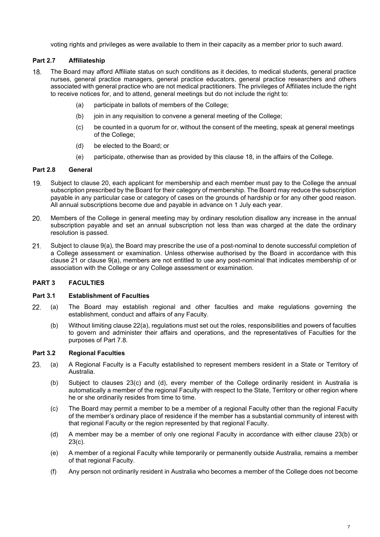voting rights and privileges as were available to them in their capacity as a member prior to such award.

# **Part 2.7 Affiliateship**

- 18. The Board may afford Affiliate status on such conditions as it decides, to medical students, general practice nurses, general practice managers, general practice educators, general practice researchers and others associated with general practice who are not medical practitioners. The privileges of Affiliates include the right to receive notices for, and to attend, general meetings but do not include the right to:
	- (a) participate in ballots of members of the College;
	- (b) join in any requisition to convene a general meeting of the College;
	- (c) be counted in a quorum for or, without the consent of the meeting, speak at general meetings of the College;
	- (d) be elected to the Board; or
	- (e) participate, otherwise than as provided by this clause 18, in the affairs of the College.

# **Part 2.8 General**

- Subject to clause 20, each applicant for membership and each member must pay to the College the annual 19. subscription prescribed by the Board for their category of membership. The Board may reduce the subscription payable in any particular case or category of cases on the grounds of hardship or for any other good reason. All annual subscriptions become due and payable in advance on 1 July each year.
- 20. Members of the College in general meeting may by ordinary resolution disallow any increase in the annual subscription payable and set an annual subscription not less than was charged at the date the ordinary resolution is passed.
- $21.$ Subject to clause 9(a), the Board may prescribe the use of a post-nominal to denote successful completion of a College assessment or examination. Unless otherwise authorised by the Board in accordance with this clause 21 or clause 9(a), members are not entitled to use any post-nominal that indicates membership of or association with the College or any College assessment or examination.

# **PART 3 FACULTIES**

#### **Part 3.1 Establishment of Faculties**

- $22.$ (a) The Board may establish regional and other faculties and make regulations governing the establishment, conduct and affairs of any Faculty.
	- (b) Without limiting clause 22(a), regulations must set out the roles, responsibilities and powers of faculties to govern and administer their affairs and operations, and the representatives of Faculties for the purposes of Part 7.8.

# **Part 3.2 Regional Faculties**

- 23. (a) A Regional Faculty is a Faculty established to represent members resident in a State or Territory of Australia.
	- (b) Subject to clauses 23(c) and (d), every member of the College ordinarily resident in Australia is automatically a member of the regional Faculty with respect to the State, Territory or other region where he or she ordinarily resides from time to time.
	- (c) The Board may permit a member to be a member of a regional Faculty other than the regional Faculty of the member's ordinary place of residence if the member has a substantial community of interest with that regional Faculty or the region represented by that regional Faculty.
	- (d) A member may be a member of only one regional Faculty in accordance with either clause 23(b) or 23(c).
	- (e) A member of a regional Faculty while temporarily or permanently outside Australia, remains a member of that regional Faculty.
	- (f) Any person not ordinarily resident in Australia who becomes a member of the College does not become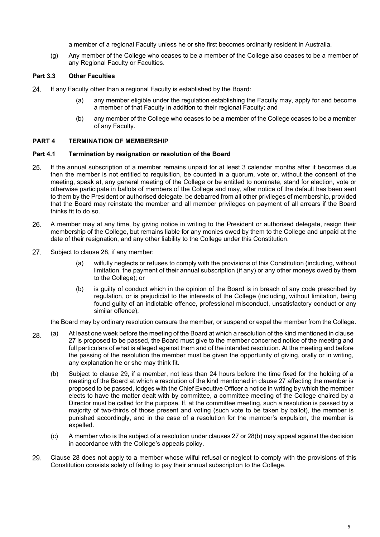a member of a regional Faculty unless he or she first becomes ordinarily resident in Australia.

(g) Any member of the College who ceases to be a member of the College also ceases to be a member of any Regional Faculty or Faculties.

# **Part 3.3 Other Faculties**

- If any Faculty other than a regional Faculty is established by the Board: 24.
	- (a) any member eligible under the regulation establishing the Faculty may, apply for and become a member of that Faculty in addition to their regional Faculty; and
	- (b) any member of the College who ceases to be a member of the College ceases to be a member of any Faculty.

# **PART 4 TERMINATION OF MEMBERSHIP**

#### **Part 4.1 Termination by resignation or resolution of the Board**

- 25. If the annual subscription of a member remains unpaid for at least 3 calendar months after it becomes due then the member is not entitled to requisition, be counted in a quorum, vote or, without the consent of the meeting, speak at, any general meeting of the College or be entitled to nominate, stand for election, vote or otherwise participate in ballots of members of the College and may, after notice of the default has been sent to them by the President or authorised delegate, be debarred from all other privileges of membership, provided that the Board may reinstate the member and all member privileges on payment of all arrears if the Board thinks fit to do so.
- 26. A member may at any time, by giving notice in writing to the President or authorised delegate, resign their membership of the College, but remains liable for any monies owed by them to the College and unpaid at the date of their resignation, and any other liability to the College under this Constitution.
- 27. Subject to clause 28, if any member:
	- (a) wilfully neglects or refuses to comply with the provisions of this Constitution (including, without limitation, the payment of their annual subscription (if any) or any other moneys owed by them to the College); or
	- (b) is guilty of conduct which in the opinion of the Board is in breach of any code prescribed by regulation, or is prejudicial to the interests of the College (including, without limitation, being found guilty of an indictable offence, professional misconduct, unsatisfactory conduct or any similar offence),

the Board may by ordinary resolution censure the member, or suspend or expel the member from the College.

- (a) At least one week before the meeting of the Board at which a resolution of the kind mentioned in clause 28. 27 is proposed to be passed, the Board must give to the member concerned notice of the meeting and full particulars of what is alleged against them and of the intended resolution. At the meeting and before the passing of the resolution the member must be given the opportunity of giving, orally or in writing, any explanation he or she may think fit.
	- (b) Subject to clause 29, if a member, not less than 24 hours before the time fixed for the holding of a meeting of the Board at which a resolution of the kind mentioned in clause 27 affecting the member is proposed to be passed, lodges with the Chief Executive Officer a notice in writing by which the member elects to have the matter dealt with by committee, a committee meeting of the College chaired by a Director must be called for the purpose. If, at the committee meeting, such a resolution is passed by a majority of two-thirds of those present and voting (such vote to be taken by ballot), the member is punished accordingly, and in the case of a resolution for the member's expulsion, the member is expelled.
	- (c) A member who is the subject of a resolution under clauses 27 or 28(b) may appeal against the decision in accordance with the College's appeals policy.
- 29. Clause 28 does not apply to a member whose wilful refusal or neglect to comply with the provisions of this Constitution consists solely of failing to pay their annual subscription to the College.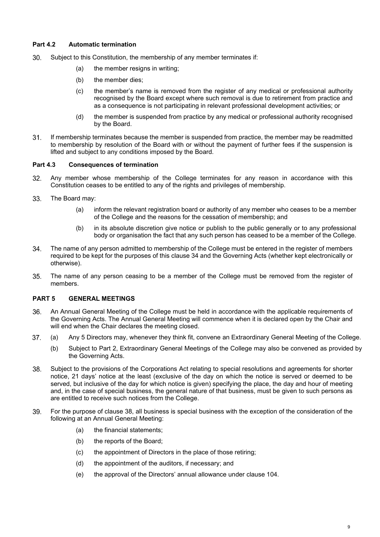# **Part 4.2 Automatic termination**

- 30. Subject to this Constitution, the membership of any member terminates if:
	- (a) the member resigns in writing;
	- (b) the member dies;
	- (c) the member's name is removed from the register of any medical or professional authority recognised by the Board except where such removal is due to retirement from practice and as a consequence is not participating in relevant professional development activities; or
	- (d) the member is suspended from practice by any medical or professional authority recognised by the Board.
- $31.$ If membership terminates because the member is suspended from practice, the member may be readmitted to membership by resolution of the Board with or without the payment of further fees if the suspension is lifted and subject to any conditions imposed by the Board.

### **Part 4.3 Consequences of termination**

- 32. Any member whose membership of the College terminates for any reason in accordance with this Constitution ceases to be entitled to any of the rights and privileges of membership.
- 33. The Board may:
	- (a) inform the relevant registration board or authority of any member who ceases to be a member of the College and the reasons for the cessation of membership; and
	- (b) in its absolute discretion give notice or publish to the public generally or to any professional body or organisation the fact that any such person has ceased to be a member of the College.
- 34. The name of any person admitted to membership of the College must be entered in the register of members required to be kept for the purposes of this clause 34 and the Governing Acts (whether kept electronically or otherwise).
- 35. The name of any person ceasing to be a member of the College must be removed from the register of members.

# **PART 5 GENERAL MEETINGS**

- 36. An Annual General Meeting of the College must be held in accordance with the applicable requirements of the Governing Acts. The Annual General Meeting will commence when it is declared open by the Chair and will end when the Chair declares the meeting closed.
- (a) Any 5 Directors may, whenever they think fit, convene an Extraordinary General Meeting of the College. 37.
	- (b) Subject to Part 2, Extraordinary General Meetings of the College may also be convened as provided by the Governing Acts.
- 38. Subject to the provisions of the Corporations Act relating to special resolutions and agreements for shorter notice, 21 days' notice at the least (exclusive of the day on which the notice is served or deemed to be served, but inclusive of the day for which notice is given) specifying the place, the day and hour of meeting and, in the case of special business, the general nature of that business, must be given to such persons as are entitled to receive such notices from the College.
- For the purpose of clause 38, all business is special business with the exception of the consideration of the 39. following at an Annual General Meeting:
	- (a) the financial statements;
	- (b) the reports of the Board;
	- (c) the appointment of Directors in the place of those retiring;
	- (d) the appointment of the auditors, if necessary; and
	- (e) the approval of the Directors' annual allowance under clause 104.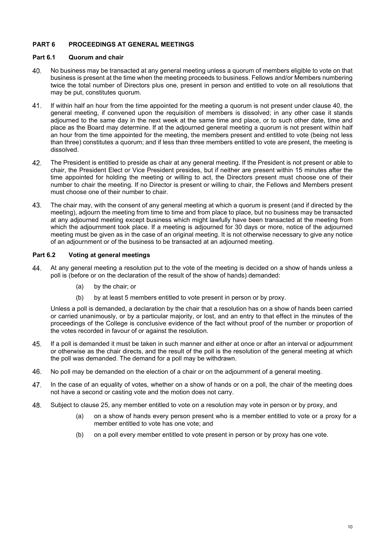# **PART 6 PROCEEDINGS AT GENERAL MEETINGS**

# **Part 6.1 Quorum and chair**

- 40. No business may be transacted at any general meeting unless a quorum of members eligible to vote on that business is present at the time when the meeting proceeds to business. Fellows and/or Members numbering twice the total number of Directors plus one, present in person and entitled to vote on all resolutions that may be put, constitutes quorum.
- If within half an hour from the time appointed for the meeting a quorum is not present under clause 40, the  $41.$ general meeting, if convened upon the requisition of members is dissolved; in any other case it stands adjourned to the same day in the next week at the same time and place, or to such other date, time and place as the Board may determine. If at the adjourned general meeting a quorum is not present within half an hour from the time appointed for the meeting, the members present and entitled to vote (being not less than three) constitutes a quorum; and if less than three members entitled to vote are present, the meeting is dissolved.
- 42. The President is entitled to preside as chair at any general meeting. If the President is not present or able to chair, the President Elect or Vice President presides, but if neither are present within 15 minutes after the time appointed for holding the meeting or willing to act, the Directors present must choose one of their number to chair the meeting. If no Director is present or willing to chair, the Fellows and Members present must choose one of their number to chair.
- 43. The chair may, with the consent of any general meeting at which a quorum is present (and if directed by the meeting), adjourn the meeting from time to time and from place to place, but no business may be transacted at any adjourned meeting except business which might lawfully have been transacted at the meeting from which the adjournment took place. If a meeting is adjourned for 30 days or more, notice of the adjourned meeting must be given as in the case of an original meeting. It is not otherwise necessary to give any notice of an adjournment or of the business to be transacted at an adjourned meeting.

## **Part 6.2 Voting at general meetings**

- 44. At any general meeting a resolution put to the vote of the meeting is decided on a show of hands unless a poll is (before or on the declaration of the result of the show of hands) demanded:
	- (a) by the chair; or
	- (b) by at least 5 members entitled to vote present in person or by proxy.

Unless a poll is demanded, a declaration by the chair that a resolution has on a show of hands been carried or carried unanimously, or by a particular majority, or lost, and an entry to that effect in the minutes of the proceedings of the College is conclusive evidence of the fact without proof of the number or proportion of the votes recorded in favour of or against the resolution.

- 45. If a poll is demanded it must be taken in such manner and either at once or after an interval or adjournment or otherwise as the chair directs, and the result of the poll is the resolution of the general meeting at which the poll was demanded. The demand for a poll may be withdrawn.
- 46. No poll may be demanded on the election of a chair or on the adjournment of a general meeting.
- 47. In the case of an equality of votes, whether on a show of hands or on a poll, the chair of the meeting does not have a second or casting vote and the motion does not carry.
- 48. Subject to clause 25, any member entitled to vote on a resolution may vote in person or by proxy, and
	- (a) on a show of hands every person present who is a member entitled to vote or a proxy for a member entitled to vote has one vote; and
	- (b) on a poll every member entitled to vote present in person or by proxy has one vote.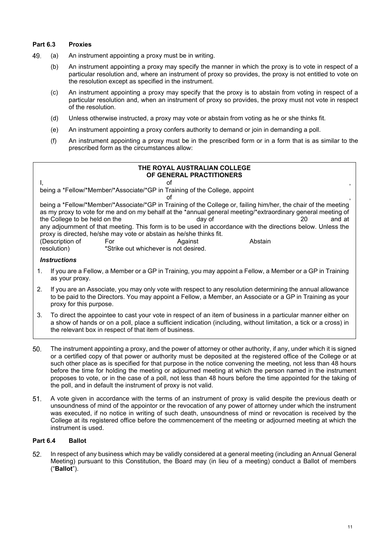# **Part 6.3 Proxies**

- 49. (a) An instrument appointing a proxy must be in writing.
	- (b) An instrument appointing a proxy may specify the manner in which the proxy is to vote in respect of a particular resolution and, where an instrument of proxy so provides, the proxy is not entitled to vote on the resolution except as specified in the instrument.
	- (c) An instrument appointing a proxy may specify that the proxy is to abstain from voting in respect of a particular resolution and, when an instrument of proxy so provides, the proxy must not vote in respect of the resolution.
	- (d) Unless otherwise instructed, a proxy may vote or abstain from voting as he or she thinks fit.
	- (e) An instrument appointing a proxy confers authority to demand or join in demanding a poll.
	- (f) An instrument appointing a proxy must be in the prescribed form or in a form that is as similar to the prescribed form as the circumstances allow:

# **THE ROYAL AUSTRALIAN COLLEGE OF GENERAL PRACTITIONERS** l, the contract of the contract of the contract of the contract of the contract of the contract of the contract of the contract of the contract of the contract of the contract of the contract of the contract of the contrac being a \*Fellow/\*Member/\*Associate/\*GP in Training of the College, appoint  $\mathsf{of}$ being a \*Fellow/\*Member/\*Associate/\*GP in Training of the College or, failing him/her, the chair of the meeting as my proxy to vote for me and on my behalf at the \*annual general meeting/\*extraordinary general meeting of<br>day of day of day of the College to be held on the day of day of day of and at the College to be held on the any adjournment of that meeting. This form is to be used in accordance with the directions below. Unless the proxy is directed, he/she may vote or abstain as he/she thinks fit. (Description of For Against Against Abstain resolution) **Abstain**<br> **Resolution Example Abstain**<br>
Strike out whichever is not desired. \*Strike out whichever is not desired.

#### *Instructions*

- 1. If you are a Fellow, a Member or a GP in Training, you may appoint a Fellow, a Member or a GP in Training as your proxy.
- 2. If you are an Associate, you may only vote with respect to any resolution determining the annual allowance to be paid to the Directors. You may appoint a Fellow, a Member, an Associate or a GP in Training as your proxy for this purpose.
- 3. To direct the appointee to cast your vote in respect of an item of business in a particular manner either on a show of hands or on a poll, place a sufficient indication (including, without limitation, a tick or a cross) in the relevant box in respect of that item of business.
- 50. The instrument appointing a proxy, and the power of attorney or other authority, if any, under which it is signed or a certified copy of that power or authority must be deposited at the registered office of the College or at such other place as is specified for that purpose in the notice convening the meeting, not less than 48 hours before the time for holding the meeting or adjourned meeting at which the person named in the instrument proposes to vote, or in the case of a poll, not less than 48 hours before the time appointed for the taking of the poll, and in default the instrument of proxy is not valid.
- A vote given in accordance with the terms of an instrument of proxy is valid despite the previous death or  $51.$ unsoundness of mind of the appointor or the revocation of any power of attorney under which the instrument was executed, if no notice in writing of such death, unsoundness of mind or revocation is received by the College at its registered office before the commencement of the meeting or adjourned meeting at which the instrument is used.

# **Part 6.4 Ballot**

52. In respect of any business which may be validly considered at a general meeting (including an Annual General Meeting) pursuant to this Constitution, the Board may (in lieu of a meeting) conduct a Ballot of members ("**Ballot**").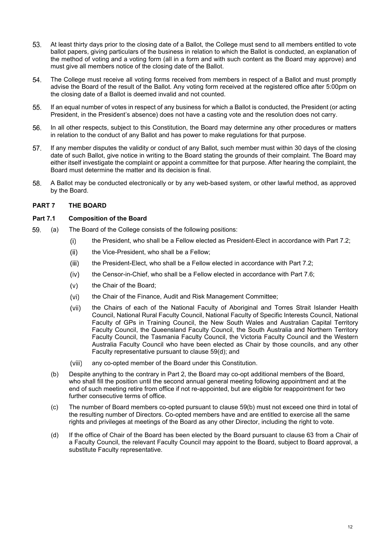- 53. At least thirty days prior to the closing date of a Ballot, the College must send to all members entitled to vote ballot papers, giving particulars of the business in relation to which the Ballot is conducted, an explanation of the method of voting and a voting form (all in a form and with such content as the Board may approve) and must give all members notice of the closing date of the Ballot.
- 54. The College must receive all voting forms received from members in respect of a Ballot and must promptly advise the Board of the result of the Ballot. Any voting form received at the registered office after 5:00pm on the closing date of a Ballot is deemed invalid and not counted.
- 55. If an equal number of votes in respect of any business for which a Ballot is conducted, the President (or acting President, in the President's absence) does not have a casting vote and the resolution does not carry.
- 56. In all other respects, subject to this Constitution, the Board may determine any other procedures or matters in relation to the conduct of any Ballot and has power to make regulations for that purpose.
- If any member disputes the validity or conduct of any Ballot, such member must within 30 days of the closing 57. date of such Ballot, give notice in writing to the Board stating the grounds of their complaint. The Board may either itself investigate the complaint or appoint a committee for that purpose. After hearing the complaint, the Board must determine the matter and its decision is final.
- 58. A Ballot may be conducted electronically or by any web-based system, or other lawful method, as approved by the Board.

# **PART 7 THE BOARD**

# **Part 7.1 Composition of the Board**

- 59. (a) The Board of the College consists of the following positions:
	- the President, who shall be a Fellow elected as President-Elect in accordance with Part 7.2;  $(i)$
	- $(ii)$ the Vice-President, who shall be a Fellow;
	- the President-Elect, who shall be a Fellow elected in accordance with Part 7.2;  $(iii)$
	- the Censor-in-Chief, who shall be a Fellow elected in accordance with Part 7.6;  $(iv)$
	- $(v)$ the Chair of the Board;
	- $(vi)$ the Chair of the Finance, Audit and Risk Management Committee;
	- the Chairs of each of the National Faculty of Aboriginal and Torres Strait Islander Health  $(vii)$ Council, National Rural Faculty Council, National Faculty of Specific Interests Council, National Faculty of GPs in Training Council, the New South Wales and Australian Capital Territory Faculty Council, the Queensland Faculty Council, the South Australia and Northern Territory Faculty Council, the Tasmania Faculty Council, the Victoria Faculty Council and the Western Australia Faculty Council who have been elected as Chair by those councils, and any other Faculty representative pursuant to clause 59(d); and
	- $(viii)$ any co-opted member of the Board under this Constitution.
	- (b) Despite anything to the contrary in Part 2, the Board may co-opt additional members of the Board, who shall fill the position until the second annual general meeting following appointment and at the end of such meeting retire from office if not re-appointed, but are eligible for reappointment for two further consecutive terms of office.
	- (c) The number of Board members co-opted pursuant to clause 59(b) must not exceed one third in total of the resulting number of Directors. Co-opted members have and are entitled to exercise all the same rights and privileges at meetings of the Board as any other Director, including the right to vote.
	- (d) If the office of Chair of the Board has been elected by the Board pursuant to clause 63 from a Chair of a Faculty Council, the relevant Faculty Council may appoint to the Board, subject to Board approval, a substitute Faculty representative.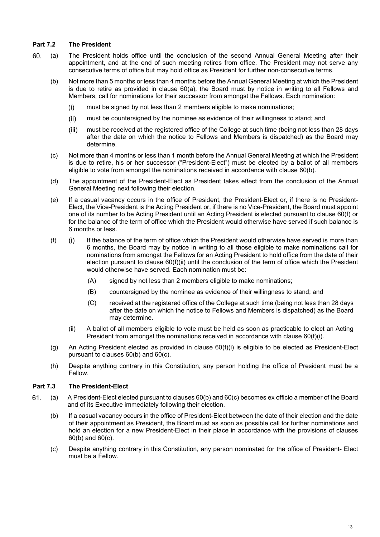# **Part 7.2 The President**

- 60. (a) The President holds office until the conclusion of the second Annual General Meeting after their appointment, and at the end of such meeting retires from office. The President may not serve any consecutive terms of office but may hold office as President for further non-consecutive terms.
	- (b) Not more than 5 months or less than 4 months before the Annual General Meeting at which the President is due to retire as provided in clause 60(a), the Board must by notice in writing to all Fellows and Members, call for nominations for their successor from amongst the Fellows. Each nomination:
		- $(i)$ must be signed by not less than 2 members eligible to make nominations;
		- must be countersigned by the nominee as evidence of their willingness to stand; and  $(ii)$
		- must be received at the registered office of the College at such time (being not less than 28 days  $(iii)$ after the date on which the notice to Fellows and Members is dispatched) as the Board may determine.
	- (c) Not more than 4 months or less than 1 month before the Annual General Meeting at which the President is due to retire, his or her successor ("President-Elect") must be elected by a ballot of all members eligible to vote from amongst the nominations received in accordance with clause 60(b).
	- (d) The appointment of the President-Elect as President takes effect from the conclusion of the Annual General Meeting next following their election.
	- (e) If a casual vacancy occurs in the office of President, the President-Elect or, if there is no President-Elect, the Vice-President is the Acting President or, if there is no Vice-President, the Board must appoint one of its number to be Acting President until an Acting President is elected pursuant to clause 60(f) or for the balance of the term of office which the President would otherwise have served if such balance is 6 months or less.
	- $(f)$  (i) If the balance of the term of office which the President would otherwise have served is more than 6 months, the Board may by notice in writing to all those eligible to make nominations call for nominations from amongst the Fellows for an Acting President to hold office from the date of their election pursuant to clause 60(f)(ii) until the conclusion of the term of office which the President would otherwise have served. Each nomination must be:
		- (A) signed by not less than 2 members eligible to make nominations;
		- (B) countersigned by the nominee as evidence of their willingness to stand; and
		- (C) received at the registered office of the College at such time (being not less than 28 days after the date on which the notice to Fellows and Members is dispatched) as the Board may determine.
		- (ii) A ballot of all members eligible to vote must be held as soon as practicable to elect an Acting President from amongst the nominations received in accordance with clause 60(f)(i).
	- (g) An Acting President elected as provided in clause 60(f)(i) is eligible to be elected as President-Elect pursuant to clauses 60(b) and 60(c).
	- (h) Despite anything contrary in this Constitution, any person holding the office of President must be a Fellow.

# **Part 7.3 The President-Elect**

- 61. (a) A President-Elect elected pursuant to clauses 60(b) and 60(c) becomes ex officio a member of the Board and of its Executive immediately following their election.
	- (b) If a casual vacancy occurs in the office of President-Elect between the date of their election and the date of their appointment as President, the Board must as soon as possible call for further nominations and hold an election for a new President-Elect in their place in accordance with the provisions of clauses 60(b) and 60(c).
	- (c) Despite anything contrary in this Constitution, any person nominated for the office of President- Elect must be a Fellow.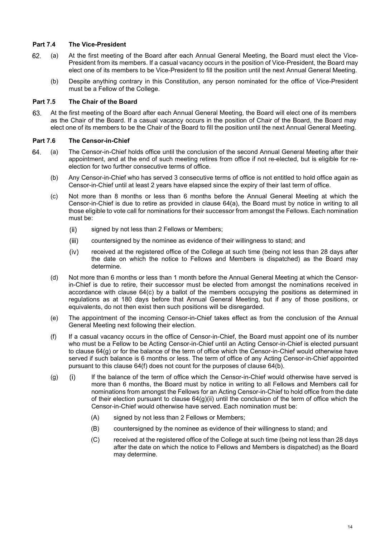# **Part 7.4 The Vice-President**

- 62. (a) At the first meeting of the Board after each Annual General Meeting, the Board must elect the Vice-President from its members. If a casual vacancy occurs in the position of Vice-President, the Board may elect one of its members to be Vice-President to fill the position until the next Annual General Meeting.
	- (b) Despite anything contrary in this Constitution, any person nominated for the office of Vice-President must be a Fellow of the College.

# **Part 7.5 The Chair of the Board**

63. At the first meeting of the Board after each Annual General Meeting, the Board will elect one of its members as the Chair of the Board. If a casual vacancy occurs in the position of Chair of the Board, the Board may elect one of its members to be the Chair of the Board to fill the position until the next Annual General Meeting.

# **Part 7.6 The Censor-in-Chief**

- 64. (a) The Censor-in-Chief holds office until the conclusion of the second Annual General Meeting after their appointment, and at the end of such meeting retires from office if not re-elected, but is eligible for reelection for two further consecutive terms of office.
	- (b) Any Censor-in-Chief who has served 3 consecutive terms of office is not entitled to hold office again as Censor-in-Chief until at least 2 years have elapsed since the expiry of their last term of office.
	- (c) Not more than 8 months or less than 6 months before the Annual General Meeting at which the Censor-in-Chief is due to retire as provided in clause 64(a), the Board must by notice in writing to all those eligible to vote call for nominations for their successor from amongst the Fellows. Each nomination must be:
		- signed by not less than 2 Fellows or Members;  $(ii)$
		- $(iii)$ countersigned by the nominee as evidence of their willingness to stand; and
		- $(iv)$ received at the registered office of the College at such time (being not less than 28 days after the date on which the notice to Fellows and Members is dispatched) as the Board may determine.
	- (d) Not more than 6 months or less than 1 month before the Annual General Meeting at which the Censorin-Chief is due to retire, their successor must be elected from amongst the nominations received in accordance with clause 64(c) by a ballot of the members occupying the positions as determined in regulations as at 180 days before that Annual General Meeting, but if any of those positions, or equivalents, do not then exist then such positions will be disregarded.
	- (e) The appointment of the incoming Censor-in-Chief takes effect as from the conclusion of the Annual General Meeting next following their election.
	- (f) If a casual vacancy occurs in the office of Censor-in-Chief, the Board must appoint one of its number who must be a Fellow to be Acting Censor-in-Chief until an Acting Censor-in-Chief is elected pursuant to clause 64(g) or for the balance of the term of office which the Censor-in-Chief would otherwise have served if such balance is 6 months or less. The term of office of any Acting Censor-in-Chief appointed pursuant to this clause 64(f) does not count for the purposes of clause 64(b).
	- (g) If the balance of the term of office which the Censor-in-Chief would otherwise have served is more than 6 months, the Board must by notice in writing to all Fellows and Members call for nominations from amongst the Fellows for an Acting Censor-in-Chief to hold office from the date of their election pursuant to clause  $64(q)$  (ii) until the conclusion of the term of office which the Censor-in-Chief would otherwise have served. Each nomination must be:
		- (A) signed by not less than 2 Fellows or Members;
		- (B) countersigned by the nominee as evidence of their willingness to stand; and
		- (C) received at the registered office of the College at such time (being not less than 28 days after the date on which the notice to Fellows and Members is dispatched) as the Board may determine.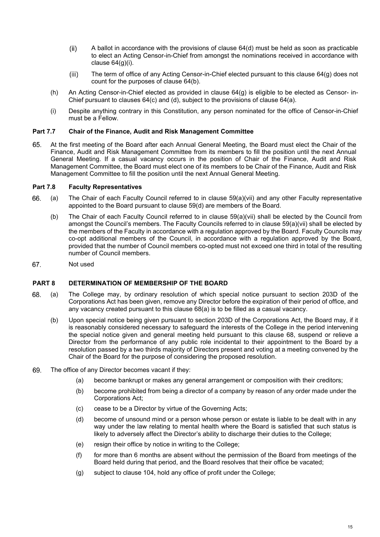- $(ii)$ A ballot in accordance with the provisions of clause 64(d) must be held as soon as practicable to elect an Acting Censor-in-Chief from amongst the nominations received in accordance with clause 64(g)(i).
- $(iii)$ The term of office of any Acting Censor-in-Chief elected pursuant to this clause 64(g) does not count for the purposes of clause 64(b).
- (h) An Acting Censor-in-Chief elected as provided in clause 64(g) is eligible to be elected as Censor- in-Chief pursuant to clauses  $64(c)$  and (d), subject to the provisions of clause  $64(a)$ .
- (i) Despite anything contrary in this Constitution, any person nominated for the office of Censor-in-Chief must be a Fellow.

## **Part 7.7 Chair of the Finance, Audit and Risk Management Committee**

At the first meeting of the Board after each Annual General Meeting, the Board must elect the Chair of the 65. Finance, Audit and Risk Management Committee from its members to fill the position until the next Annual General Meeting. If a casual vacancy occurs in the position of Chair of the Finance, Audit and Risk Management Committee, the Board must elect one of its members to be Chair of the Finance, Audit and Risk Management Committee to fill the position until the next Annual General Meeting.

#### **Part 7.8 Faculty Representatives**

- (a) The Chair of each Faculty Council referred to in clause 59(a)(vii) and any other Faculty representative 66. appointed to the Board pursuant to clause 59(d) are members of the Board.
	- (b) The Chair of each Faculty Council referred to in clause 59(a)(vii) shall be elected by the Council from amongst the Council's members. The Faculty Councils referred to in clause 59(a)(vii) shall be elected by the members of the Faculty in accordance with a regulation approved by the Board. Faculty Councils may co-opt additional members of the Council, in accordance with a regulation approved by the Board, provided that the number of Council members co-opted must not exceed one third in total of the resulting number of Council members.
- 67. Not used

#### **PART 8 DETERMINATION OF MEMBERSHIP OF THE BOARD**

- 68. (a) The College may, by ordinary resolution of which special notice pursuant to section 203D of the Corporations Act has been given, remove any Director before the expiration of their period of office, and any vacancy created pursuant to this clause 68(a) is to be filled as a casual vacancy.
	- (b) Upon special notice being given pursuant to section 203D of the Corporations Act, the Board may, if it is reasonably considered necessary to safeguard the interests of the College in the period intervening the special notice given and general meeting held pursuant to this clause 68, suspend or relieve a Director from the performance of any public role incidental to their appointment to the Board by a resolution passed by a two thirds majority of Directors present and voting at a meeting convened by the Chair of the Board for the purpose of considering the proposed resolution.
- 69. The office of any Director becomes vacant if they:
	- (a) become bankrupt or makes any general arrangement or composition with their creditors;
	- (b) become prohibited from being a director of a company by reason of any order made under the Corporations Act;
	- (c) cease to be a Director by virtue of the Governing Acts;
	- (d) become of unsound mind or a person whose person or estate is liable to be dealt with in any way under the law relating to mental health where the Board is satisfied that such status is likely to adversely affect the Director's ability to discharge their duties to the College;
	- (e) resign their office by notice in writing to the College;
	- (f) for more than 6 months are absent without the permission of the Board from meetings of the Board held during that period, and the Board resolves that their office be vacated;
	- (g) subject to clause 104, hold any office of profit under the College;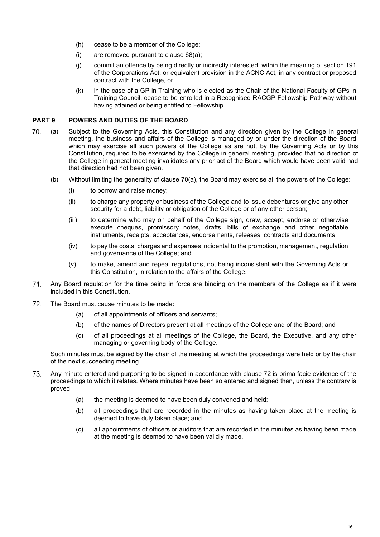- (h) cease to be a member of the College;
- (i) are removed pursuant to clause 68(a);
- (j) commit an offence by being directly or indirectly interested, within the meaning of section 191 of the Corporations Act, or equivalent provision in the ACNC Act, in any contract or proposed contract with the College, or
- (k) in the case of a GP in Training who is elected as the Chair of the National Faculty of GPs in Training Council, cease to be enrolled in a Recognised RACGP Fellowship Pathway without having attained or being entitled to Fellowship.

## **PART 9 POWERS AND DUTIES OF THE BOARD**

- 70. (a) Subject to the Governing Acts, this Constitution and any direction given by the College in general meeting, the business and affairs of the College is managed by or under the direction of the Board, which may exercise all such powers of the College as are not, by the Governing Acts or by this Constitution, required to be exercised by the College in general meeting, provided that no direction of the College in general meeting invalidates any prior act of the Board which would have been valid had that direction had not been given.
	- (b) Without limiting the generality of clause 70(a), the Board may exercise all the powers of the College:
		- (i) to borrow and raise money;
		- (ii) to charge any property or business of the College and to issue debentures or give any other security for a debt, liability or obligation of the College or of any other person;
		- (iii) to determine who may on behalf of the College sign, draw, accept, endorse or otherwise execute cheques, promissory notes, drafts, bills of exchange and other negotiable instruments, receipts, acceptances, endorsements, releases, contracts and documents;
		- (iv) to pay the costs, charges and expenses incidental to the promotion, management, regulation and governance of the College; and
		- (v) to make, amend and repeal regulations, not being inconsistent with the Governing Acts or this Constitution, in relation to the affairs of the College.
- $71.$ Any Board regulation for the time being in force are binding on the members of the College as if it were included in this Constitution.
- 72. The Board must cause minutes to be made:
	- (a) of all appointments of officers and servants;
	- (b) of the names of Directors present at all meetings of the College and of the Board; and
	- (c) of all proceedings at all meetings of the College, the Board, the Executive, and any other managing or governing body of the College.

Such minutes must be signed by the chair of the meeting at which the proceedings were held or by the chair of the next succeeding meeting.

- 73. Any minute entered and purporting to be signed in accordance with clause 72 is prima facie evidence of the proceedings to which it relates. Where minutes have been so entered and signed then, unless the contrary is proved:
	- (a) the meeting is deemed to have been duly convened and held;
	- (b) all proceedings that are recorded in the minutes as having taken place at the meeting is deemed to have duly taken place; and
	- (c) all appointments of officers or auditors that are recorded in the minutes as having been made at the meeting is deemed to have been validly made.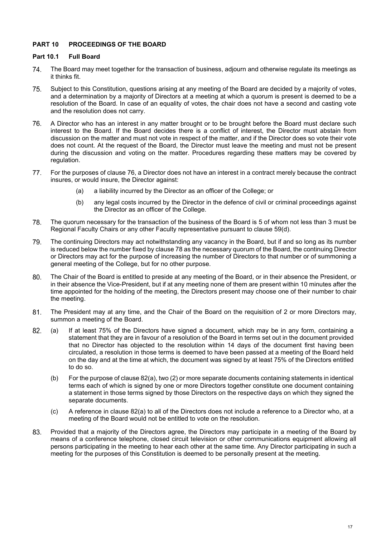# **PART 10 PROCEEDINGS OF THE BOARD**

#### **Part 10.1 Full Board**

- 74. The Board may meet together for the transaction of business, adjourn and otherwise regulate its meetings as it thinks fit.
- 75. Subject to this Constitution, questions arising at any meeting of the Board are decided by a majority of votes, and a determination by a majority of Directors at a meeting at which a quorum is present is deemed to be a resolution of the Board. In case of an equality of votes, the chair does not have a second and casting vote and the resolution does not carry.
- 76. A Director who has an interest in any matter brought or to be brought before the Board must declare such interest to the Board. If the Board decides there is a conflict of interest, the Director must abstain from discussion on the matter and must not vote in respect of the matter, and if the Director does so vote their vote does not count. At the request of the Board, the Director must leave the meeting and must not be present during the discussion and voting on the matter. Procedures regarding these matters may be covered by regulation.
- 77. For the purposes of clause 76, a Director does not have an interest in a contract merely because the contract insures, or would insure, the Director against:
	- (a) a liability incurred by the Director as an officer of the College; or
	- (b) any legal costs incurred by the Director in the defence of civil or criminal proceedings against the Director as an officer of the College.
- 78. The quorum necessary for the transaction of the business of the Board is 5 of whom not less than 3 must be Regional Faculty Chairs or any other Faculty representative pursuant to clause 59(d).
- 79. The continuing Directors may act notwithstanding any vacancy in the Board, but if and so long as its number is reduced below the number fixed by clause 78 as the necessary quorum of the Board, the continuing Director or Directors may act for the purpose of increasing the number of Directors to that number or of summoning a general meeting of the College, but for no other purpose.
- 80. The Chair of the Board is entitled to preside at any meeting of the Board, or in their absence the President, or in their absence the Vice-President, but if at any meeting none of them are present within 10 minutes after the time appointed for the holding of the meeting, the Directors present may choose one of their number to chair the meeting.
- $81.$ The President may at any time, and the Chair of the Board on the requisition of 2 or more Directors may, summon a meeting of the Board.
- (a) If at least 75% of the Directors have signed a document, which may be in any form, containing a 82. statement that they are in favour of a resolution of the Board in terms set out in the document provided that no Director has objected to the resolution within 14 days of the document first having been circulated, a resolution in those terms is deemed to have been passed at a meeting of the Board held on the day and at the time at which, the document was signed by at least 75% of the Directors entitled to do so.
	- (b) For the purpose of clause 82(a), two (2) or more separate documents containing statements in identical terms each of which is signed by one or more Directors together constitute one document containing a statement in those terms signed by those Directors on the respective days on which they signed the separate documents.
	- (c) A reference in clause 82(a) to all of the Directors does not include a reference to a Director who, at a meeting of the Board would not be entitled to vote on the resolution.
- Provided that a majority of the Directors agree, the Directors may participate in a meeting of the Board by 83. means of a conference telephone, closed circuit television or other communications equipment allowing all persons participating in the meeting to hear each other at the same time. Any Director participating in such a meeting for the purposes of this Constitution is deemed to be personally present at the meeting.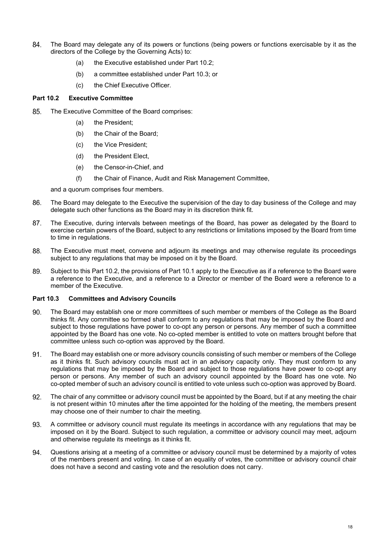- 84. The Board may delegate any of its powers or functions (being powers or functions exercisable by it as the directors of the College by the Governing Acts) to:
	- (a) the Executive established under Part 10.2;
	- (b) a committee established under Part 10.3; or
	- (c) the Chief Executive Officer.

# **Part 10.2 Executive Committee**

- The Executive Committee of the Board comprises: 85.
	- (a) the President;
	- (b) the Chair of the Board;
	- (c) the Vice President;
	- (d) the President Elect,
	- (e) the Censor-in-Chief, and
	- (f) the Chair of Finance, Audit and Risk Management Committee,

and a quorum comprises four members.

- 86. The Board may delegate to the Executive the supervision of the day to day business of the College and may delegate such other functions as the Board may in its discretion think fit.
- 87. The Executive, during intervals between meetings of the Board, has power as delegated by the Board to exercise certain powers of the Board, subject to any restrictions or limitations imposed by the Board from time to time in regulations.
- 88. The Executive must meet, convene and adjourn its meetings and may otherwise regulate its proceedings subject to any regulations that may be imposed on it by the Board.
- 89. Subject to this Part 10.2, the provisions of Part 10.1 apply to the Executive as if a reference to the Board were a reference to the Executive, and a reference to a Director or member of the Board were a reference to a member of the Executive.

# **Part 10.3 Committees and Advisory Councils**

- 90. The Board may establish one or more committees of such member or members of the College as the Board thinks fit. Any committee so formed shall conform to any regulations that may be imposed by the Board and subject to those regulations have power to co-opt any person or persons. Any member of such a committee appointed by the Board has one vote. No co-opted member is entitled to vote on matters brought before that committee unless such co-option was approved by the Board.
- 91. The Board may establish one or more advisory councils consisting of such member or members of the College as it thinks fit. Such advisory councils must act in an advisory capacity only. They must conform to any regulations that may be imposed by the Board and subject to those regulations have power to co-opt any person or persons. Any member of such an advisory council appointed by the Board has one vote. No co-opted member of such an advisory council is entitled to vote unless such co-option was approved by Board.
- 92. The chair of any committee or advisory council must be appointed by the Board, but if at any meeting the chair is not present within 10 minutes after the time appointed for the holding of the meeting, the members present may choose one of their number to chair the meeting.
- A committee or advisory council must regulate its meetings in accordance with any regulations that may be 93. imposed on it by the Board. Subject to such regulation, a committee or advisory council may meet, adjourn and otherwise regulate its meetings as it thinks fit.
- Questions arising at a meeting of a committee or advisory council must be determined by a majority of votes 94. of the members present and voting. In case of an equality of votes, the committee or advisory council chair does not have a second and casting vote and the resolution does not carry.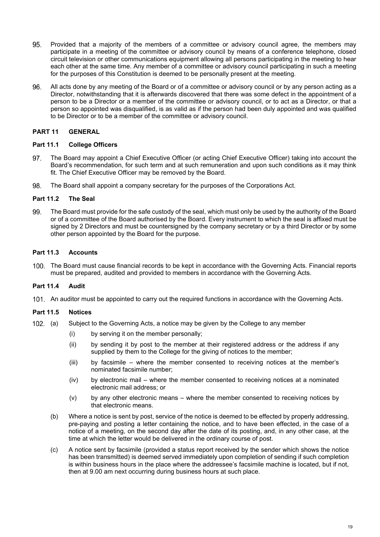- 95. Provided that a majority of the members of a committee or advisory council agree, the members may participate in a meeting of the committee or advisory council by means of a conference telephone, closed circuit television or other communications equipment allowing all persons participating in the meeting to hear each other at the same time. Any member of a committee or advisory council participating in such a meeting for the purposes of this Constitution is deemed to be personally present at the meeting.
- 96. All acts done by any meeting of the Board or of a committee or advisory council or by any person acting as a Director, notwithstanding that it is afterwards discovered that there was some defect in the appointment of a person to be a Director or a member of the committee or advisory council, or to act as a Director, or that a person so appointed was disqualified, is as valid as if the person had been duly appointed and was qualified to be Director or to be a member of the committee or advisory council.

# **PART 11 GENERAL**

#### **Part 11.1 College Officers**

- The Board may appoint a Chief Executive Officer (or acting Chief Executive Officer) taking into account the 97. Board's recommendation, for such term and at such remuneration and upon such conditions as it may think fit. The Chief Executive Officer may be removed by the Board.
- 98. The Board shall appoint a company secretary for the purposes of the Corporations Act.

#### **Part 11.2 The Seal**

99. The Board must provide for the safe custody of the seal, which must only be used by the authority of the Board or of a committee of the Board authorised by the Board. Every instrument to which the seal is affixed must be signed by 2 Directors and must be countersigned by the company secretary or by a third Director or by some other person appointed by the Board for the purpose.

#### **Part 11.3 Accounts**

100. The Board must cause financial records to be kept in accordance with the Governing Acts. Financial reports must be prepared, audited and provided to members in accordance with the Governing Acts.

# **Part 11.4 Audit**

101. An auditor must be appointed to carry out the required functions in accordance with the Governing Acts.

#### **Part 11.5 Notices**

- 102. (a) Subject to the Governing Acts, a notice may be given by the College to any member
	- (i) by serving it on the member personally;
	- (ii) by sending it by post to the member at their registered address or the address if any supplied by them to the College for the giving of notices to the member;
	- (iii) by facsimile where the member consented to receiving notices at the member's nominated facsimile number;
	- (iv) by electronic mail where the member consented to receiving notices at a nominated electronic mail address; or
	- (v) by any other electronic means where the member consented to receiving notices by that electronic means.
	- (b) Where a notice is sent by post, service of the notice is deemed to be effected by properly addressing, pre-paying and posting a letter containing the notice, and to have been effected, in the case of a notice of a meeting, on the second day after the date of its posting, and, in any other case, at the time at which the letter would be delivered in the ordinary course of post.
	- (c) A notice sent by facsimile (provided a status report received by the sender which shows the notice has been transmitted) is deemed served immediately upon completion of sending if such completion is within business hours in the place where the addressee's facsimile machine is located, but if not, then at 9.00 am next occurring during business hours at such place.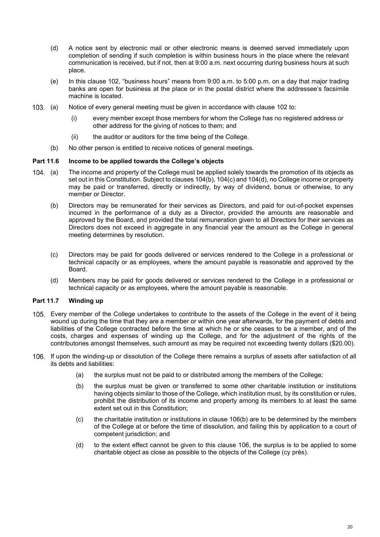- (d) A notice sent by electronic mail or other electronic means is deemed served immediately upon completion of sending if such completion is within business hours in the place where the relevant communication is received, but if not, then at 9:00 a.m. next occurring during business hours at such place.
- (e) In this clause 102, "business hours" means from 9:00 a.m. to 5:00 p.m. on a day that major trading banks are open for business at the place or in the postal district where the addressee's facsimile machine is located.
- (a) Notice of every general meeting must be given in accordance with clause 102 to:
	- (i) every member except those members for whom the College has no registered address or other address for the giving of notices to them; and
	- (ii) the auditor or auditors for the time being of the College.
	- (b) No other person is entitled to receive notices of general meetings.

#### **Part 11.6 Income to be applied towards the College's objects**

- 104. (a) The income and property of the College must be applied solely towards the promotion of its objects as set out in this Constitution. Subject to clauses 104(b), 104(c) and 104(d), no College income or property may be paid or transferred, directly or indirectly, by way of dividend, bonus or otherwise, to any member or Director.
	- (b) Directors may be remunerated for their services as Directors, and paid for out-of-pocket expenses incurred in the performance of a duty as a Director, provided the amounts are reasonable and approved by the Board, and provided the total remuneration given to all Directors for their services as Directors does not exceed in aggregate in any financial year the amount as the College in general meeting determines by resolution.
	- (c) Directors may be paid for goods delivered or services rendered to the College in a professional or technical capacity or as employees, where the amount payable is reasonable and approved by the Board.
	- (d) Members may be paid for goods delivered or services rendered to the College in a professional or technical capacity or as employees, where the amount payable is reasonable.

# **Part 11.7 Winding up**

- 105. Every member of the College undertakes to contribute to the assets of the College in the event of it being wound up during the time that they are a member or within one year afterwards, for the payment of debts and liabilities of the College contracted before the time at which he or she ceases to be a member, and of the costs, charges and expenses of winding up the College, and for the adjustment of the rights of the contributories amongst themselves, such amount as may be required not exceeding twenty dollars (\$20.00).
- 106. If upon the winding-up or dissolution of the College there remains a surplus of assets after satisfaction of all its debts and liabilities:
	- (a) the surplus must not be paid to or distributed among the members of the College;
	- (b) the surplus must be given or transferred to some other charitable institution or institutions having objects similar to those of the College, which institution must, by its constitution or rules, prohibit the distribution of its income and property among its members to at least the same extent set out in this Constitution;
	- (c) the charitable institution or institutions in clause 106(b) are to be determined by the members of the College at or before the time of dissolution, and failing this by application to a court of competent jurisdiction; and
	- (d) to the extent effect cannot be given to this clause 106, the surplus is to be applied to some charitable object as close as possible to the objects of the College (cy près).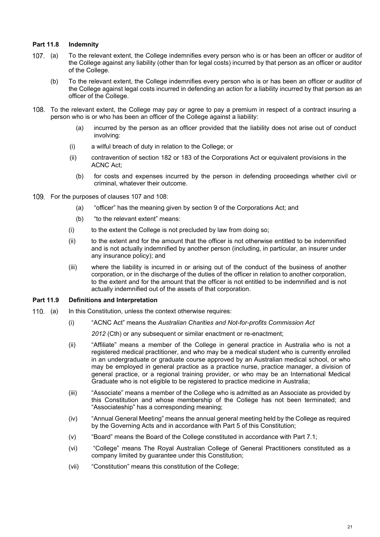# **Part 11.8 Indemnity**

- (a) To the relevant extent, the College indemnifies every person who is or has been an officer or auditor of the College against any liability (other than for legal costs) incurred by that person as an officer or auditor of the College.
	- (b) To the relevant extent, the College indemnifies every person who is or has been an officer or auditor of the College against legal costs incurred in defending an action for a liability incurred by that person as an officer of the College.
- 108. To the relevant extent, the College may pay or agree to pay a premium in respect of a contract insuring a person who is or who has been an officer of the College against a liability:
	- (a) incurred by the person as an officer provided that the liability does not arise out of conduct involving:
	- (i) a wilful breach of duty in relation to the College; or
	- (ii) contravention of section 182 or 183 of the Corporations Act or equivalent provisions in the ACNC Act;
		- (b) for costs and expenses incurred by the person in defending proceedings whether civil or criminal, whatever their outcome.
- 109. For the purposes of clauses 107 and 108:
	- (a) "officer" has the meaning given by section 9 of the Corporations Act; and
	- (b) "to the relevant extent" means:
	- (i) to the extent the College is not precluded by law from doing so;
	- (ii) to the extent and for the amount that the officer is not otherwise entitled to be indemnified and is not actually indemnified by another person (including, in particular, an insurer under any insurance policy); and
	- (iii) where the liability is incurred in or arising out of the conduct of the business of another corporation, or in the discharge of the duties of the officer in relation to another corporation, to the extent and for the amount that the officer is not entitled to be indemnified and is not actually indemnified out of the assets of that corporation.

#### **Part 11.9 Definitions and Interpretation**

- 110. (a) In this Constitution, unless the context otherwise requires:
	- (i) "ACNC Act" means the *Australian Charities and Not-for-profits Commission Act*
		- 2012 (Cth) or any subsequent or similar enactment or re-enactment;
	- (ii) "Affiliate" means a member of the College in general practice in Australia who is not a registered medical practitioner, and who may be a medical student who is currently enrolled in an undergraduate or graduate course approved by an Australian medical school, or who may be employed in general practice as a practice nurse, practice manager, a division of general practice, or a regional training provider, or who may be an International Medical Graduate who is not eligible to be registered to practice medicine in Australia;
	- (iii) "Associate" means a member of the College who is admitted as an Associate as provided by this Constitution and whose membership of the College has not been terminated; and "Associateship" has a corresponding meaning;
	- (iv) "Annual General Meeting" means the annual general meeting held by the College as required by the Governing Acts and in accordance with Part 5 of this Constitution;
	- (v) "Board" means the Board of the College constituted in accordance with Part 7.1;
	- (vi) "College" means The Royal Australian College of General Practitioners constituted as a company limited by guarantee under this Constitution;
	- (vii) "Constitution" means this constitution of the College;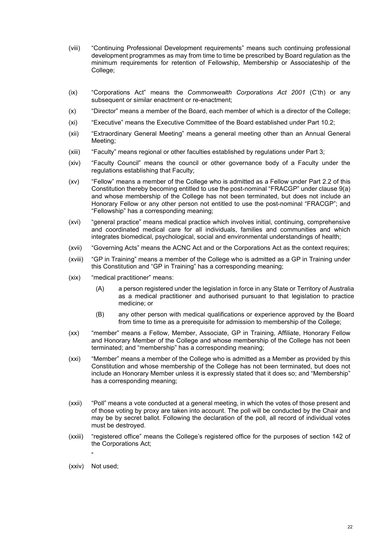- (viii) "Continuing Professional Development requirements" means such continuing professional development programmes as may from time to time be prescribed by Board regulation as the minimum requirements for retention of Fellowship, Membership or Associateship of the College;
- (ix) "Corporations Act" means the *Commonwealth Corporations Act 2001* (C'th) or any subsequent or similar enactment or re-enactment;
- (x) "Director" means a member of the Board, each member of which is a director of the College;
- (xi) "Executive" means the Executive Committee of the Board established under Part 10.2;
- (xii) "Extraordinary General Meeting" means a general meeting other than an Annual General Meeting;
- (xiii) "Faculty" means regional or other faculties established by regulations under Part 3;
- (xiv) "Faculty Council" means the council or other governance body of a Faculty under the regulations establishing that Faculty;
- (xv) "Fellow" means a member of the College who is admitted as a Fellow under Part 2.2 of this Constitution thereby becoming entitled to use the post-nominal "FRACGP" under clause 9(a) and whose membership of the College has not been terminated, but does not include an Honorary Fellow or any other person not entitled to use the post-nominal "FRACGP"; and "Fellowship" has a corresponding meaning;
- (xvi) "general practice" means medical practice which involves initial, continuing, comprehensive and coordinated medical care for all individuals, families and communities and which integrates biomedical, psychological, social and environmental understandings of health;
- (xvii) "Governing Acts" means the ACNC Act and or the Corporations Act as the context requires;
- (xviii) "GP in Training" means a member of the College who is admitted as a GP in Training under this Constitution and "GP in Training" has a corresponding meaning;
- (xix) "medical practitioner" means:
	- (A) a person registered under the legislation in force in any State or Territory of Australia as a medical practitioner and authorised pursuant to that legislation to practice medicine; or
	- (B) any other person with medical qualifications or experience approved by the Board from time to time as a prerequisite for admission to membership of the College;
- (xx) "member" means a Fellow, Member, Associate, GP in Training, Affiliate, Honorary Fellow and Honorary Member of the College and whose membership of the College has not been terminated; and "membership" has a corresponding meaning;
- (xxi) "Member" means a member of the College who is admitted as a Member as provided by this Constitution and whose membership of the College has not been terminated, but does not include an Honorary Member unless it is expressly stated that it does so; and "Membership" has a corresponding meaning;
- (xxii) "Poll" means a vote conducted at a general meeting, in which the votes of those present and of those voting by proxy are taken into account. The poll will be conducted by the Chair and may be by secret ballot. Following the declaration of the poll, all record of individual votes must be destroyed.
- (xxiii) "registered office" means the College's registered office for the purposes of section 142 of the Corporations Act;
- " (xxiv) Not used;